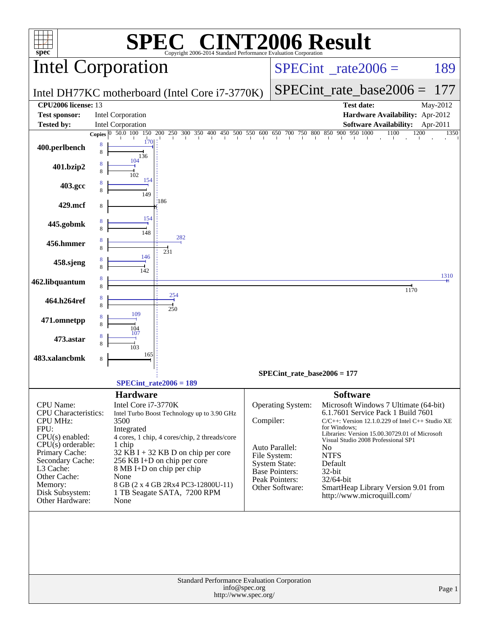|                                                                                                   | Intel Corporation                                                                                                                                                                          |                                                                                                               | $SPECint^{\circ}$ <sub>_rate2006</sub> =                                                                                                                                                               | 189              |
|---------------------------------------------------------------------------------------------------|--------------------------------------------------------------------------------------------------------------------------------------------------------------------------------------------|---------------------------------------------------------------------------------------------------------------|--------------------------------------------------------------------------------------------------------------------------------------------------------------------------------------------------------|------------------|
|                                                                                                   | Intel DH77KC motherboard (Intel Core i7-3770K)                                                                                                                                             |                                                                                                               | $SPECint_rate_base2006 =$                                                                                                                                                                              | 177              |
| CPU2006 license: 13                                                                               |                                                                                                                                                                                            |                                                                                                               | <b>Test date:</b>                                                                                                                                                                                      | May-2012         |
| <b>Test sponsor:</b>                                                                              | Intel Corporation                                                                                                                                                                          |                                                                                                               | Hardware Availability: Apr-2012                                                                                                                                                                        |                  |
| <b>Tested by:</b>                                                                                 | Intel Corporation                                                                                                                                                                          |                                                                                                               | <b>Software Availability:</b><br>1200<br>1100                                                                                                                                                          | Apr-2011<br>1350 |
| 400.perlbench                                                                                     | <b>Copies</b> $\begin{bmatrix} 0 & 50.0 & 100 & 150 & 200 & 250 & 300 & 350 & 400 & 450 & 500 & 550 & 600 & 650 & 700 & 750 & 800 & 850 & 900 & 950 & 1000 \end{bmatrix}$<br>170<br>8<br>8 |                                                                                                               |                                                                                                                                                                                                        |                  |
| 401.bzip2                                                                                         | 136<br>104<br>8<br>102                                                                                                                                                                     |                                                                                                               |                                                                                                                                                                                                        |                  |
| 403.gcc                                                                                           | 154<br>149                                                                                                                                                                                 |                                                                                                               |                                                                                                                                                                                                        |                  |
| 429.mcf                                                                                           | 186<br>8                                                                                                                                                                                   |                                                                                                               |                                                                                                                                                                                                        |                  |
| 445.gobmk                                                                                         | 154<br>148                                                                                                                                                                                 |                                                                                                               |                                                                                                                                                                                                        |                  |
| 456.hmmer                                                                                         | 282<br>8<br>231<br>146                                                                                                                                                                     |                                                                                                               |                                                                                                                                                                                                        |                  |
| 458.sjeng                                                                                         | 142                                                                                                                                                                                        |                                                                                                               |                                                                                                                                                                                                        | 1310             |
| 462.libquantum                                                                                    | 8<br>8                                                                                                                                                                                     |                                                                                                               | 1170                                                                                                                                                                                                   |                  |
| 464.h264ref                                                                                       | 254<br>8<br>8<br>250                                                                                                                                                                       |                                                                                                               |                                                                                                                                                                                                        |                  |
| 471.omnetpp                                                                                       | 109<br>8<br>104                                                                                                                                                                            |                                                                                                               |                                                                                                                                                                                                        |                  |
| 473.astar                                                                                         | 107                                                                                                                                                                                        |                                                                                                               |                                                                                                                                                                                                        |                  |
| 483.xalancbmk                                                                                     | 165<br>8                                                                                                                                                                                   |                                                                                                               |                                                                                                                                                                                                        |                  |
|                                                                                                   | $SPECint_rate2006 = 189$                                                                                                                                                                   |                                                                                                               | SPECint rate base $2006 = 177$                                                                                                                                                                         |                  |
|                                                                                                   | <b>Hardware</b>                                                                                                                                                                            |                                                                                                               | <b>Software</b>                                                                                                                                                                                        |                  |
| <b>CPU</b> Name:<br><b>CPU</b> Characteristics:<br><b>CPU MHz:</b><br>FPU:<br>$CPU(s)$ enabled:   | Intel Core i7-3770K<br>Intel Turbo Boost Technology up to 3.90 GHz<br>3500<br>Integrated<br>4 cores, 1 chip, 4 cores/chip, 2 threads/core                                                  | Operating System:<br>Compiler:                                                                                | Microsoft Windows 7 Ultimate (64-bit)<br>6.1.7601 Service Pack 1 Build 7601<br>$C/C++$ : Version 12.1.0.229 of Intel $C++$ Studio XE<br>for Windows:<br>Libraries: Version 15.00.30729.01 of Microsoft |                  |
| $CPU(s)$ orderable:<br>Primary Cache:<br>Secondary Cache:<br>L3 Cache:<br>Other Cache:<br>Memory: | 1 chip<br>$32$ KB I + 32 KB D on chip per core<br>256 KB I+D on chip per core<br>8 MB I+D on chip per chip<br>None<br>8 GB (2 x 4 GB 2Rx4 PC3-12800U-11)                                   | Auto Parallel:<br>File System:<br><b>System State:</b><br>Base Pointers:<br>Peak Pointers:<br>Other Software: | Visual Studio 2008 Professional SP1<br>N <sub>0</sub><br><b>NTFS</b><br>Default<br>32-bit<br>32/64-bit<br>SmartHeap Library Version 9.01 from                                                          |                  |
| Disk Subsystem:<br>Other Hardware:                                                                | 1 TB Seagate SATA, 7200 RPM<br>None                                                                                                                                                        |                                                                                                               | http://www.microquill.com/                                                                                                                                                                             |                  |
|                                                                                                   | Standard Performance Evaluation Corporation<br>info@spec.org<br>http://www.spec.org/                                                                                                       |                                                                                                               |                                                                                                                                                                                                        | Page 1           |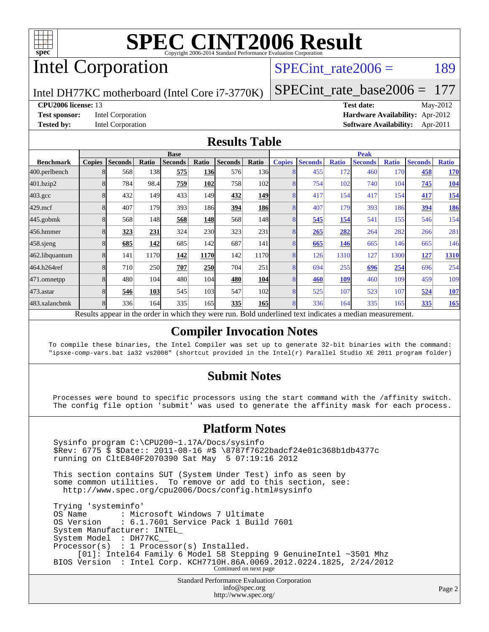

# Intel Corporation

#### SPECint rate $2006 = 189$

Intel DH77KC motherboard (Intel Core i7-3770K)

[SPECint\\_rate\\_base2006 =](http://www.spec.org/auto/cpu2006/Docs/result-fields.html#SPECintratebase2006) 177

#### **[CPU2006 license:](http://www.spec.org/auto/cpu2006/Docs/result-fields.html#CPU2006license)** 13 **[Test date:](http://www.spec.org/auto/cpu2006/Docs/result-fields.html#Testdate)** May-2012

**[Test sponsor:](http://www.spec.org/auto/cpu2006/Docs/result-fields.html#Testsponsor)** Intel Corporation **[Hardware Availability:](http://www.spec.org/auto/cpu2006/Docs/result-fields.html#HardwareAvailability)** Apr-2012 **[Tested by:](http://www.spec.org/auto/cpu2006/Docs/result-fields.html#Testedby)** Intel Corporation **[Software Availability:](http://www.spec.org/auto/cpu2006/Docs/result-fields.html#SoftwareAvailability)** Apr-2011

#### **[Results Table](http://www.spec.org/auto/cpu2006/Docs/result-fields.html#ResultsTable)**

|                                                                                                          | <b>Base</b>   |                |       |                |            |                | <b>Peak</b> |               |                |              |                |              |                |              |
|----------------------------------------------------------------------------------------------------------|---------------|----------------|-------|----------------|------------|----------------|-------------|---------------|----------------|--------------|----------------|--------------|----------------|--------------|
| <b>Benchmark</b>                                                                                         | <b>Copies</b> | <b>Seconds</b> | Ratio | <b>Seconds</b> | Ratio      | <b>Seconds</b> | Ratio       | <b>Copies</b> | <b>Seconds</b> | <b>Ratio</b> | <b>Seconds</b> | <b>Ratio</b> | <b>Seconds</b> | <b>Ratio</b> |
| 400.perlbench                                                                                            | 8             | 568            | 138   | 575            | <b>136</b> | 576            | 136         |               | 455            | 172          | 460            | 170          | 458            | <b>170</b>   |
| 401.bzip2                                                                                                |               | 784            | 98.4  | 759            | 102        | 758            | 102         | 8             | 754            | 102          | 740            | 104          | 745            | <b>104</b>   |
| $403.\mathrm{gcc}$                                                                                       | 8             | 432            | 149   | 433            | 149        | 432            | <b>149</b>  | 8             | 417            | 154          | 417            | 154          | 417            | 154          |
| $429$ .mcf                                                                                               | 8             | 407            | 179   | 393            | 186I       | 394            | <b>186</b>  | 8             | 407            | 179          | 393            | 186          | 394            | <u>186</u>   |
| $445$ .gobmk                                                                                             | 8             | 568            | 148   | 568            | 148        | 568            | 148         | 8             | 545            | 154          | 541            | 155          | 546            | 154          |
| 456.hmmer                                                                                                | 8             | 323            | 231   | 324            | 230        | 323            | 231         | 8             | 265            | 282          | 264            | 282          | 266            | 281          |
| $458$ .sjeng                                                                                             |               | 685            | 142   | 685            | 142        | 687            | 141         | 8             | 665            | 146          | 665            | 146          | 665            | 146          |
| 462.libquantum                                                                                           | 8             | 141            | 1170  | 142            | 1170       | 142            | 1170        | 8             | 126            | 1310         | 127            | 1300         | 127            | 1310         |
| 464.h264ref                                                                                              | 8             | 710            | 250   | 707            | 250        | 704            | 251         | 8             | 694            | 255          | 696            | 254          | 696            | 254          |
| 471.omnetpp                                                                                              |               | 480            | 104   | 480            | 104        | 480            | <b>104</b>  | 8             | 460            | 109          | 460            | 109          | 459            | 109          |
| 473.astar                                                                                                |               | 546            | 103   | 545            | 103        | 547            | 102         | 8             | 525            | 107          | 523            | 107          | 524            | <u>107</u>   |
| 483.xalancbmk                                                                                            | 8             | 336            | 164   | 335            | 165        | 335            | <b>165</b>  | 8             | 336            | 164          | 335            | 165          | 335            | 165          |
| Results appear in the order in which they were run. Bold underlined text indicates a median measurement. |               |                |       |                |            |                |             |               |                |              |                |              |                |              |

#### **[Compiler Invocation Notes](http://www.spec.org/auto/cpu2006/Docs/result-fields.html#CompilerInvocationNotes)**

To compile these binaries, the Intel Compiler was set up to generate 32-bit binaries with the command: "ipsxe-comp-vars.bat ia32 vs2008" (shortcut provided in the Intel(r) Parallel Studio XE 2011 program folder)

#### **[Submit Notes](http://www.spec.org/auto/cpu2006/Docs/result-fields.html#SubmitNotes)**

 Processes were bound to specific processors using the start command with the /affinity switch. The config file option 'submit' was used to generate the affinity mask for each process.

#### **[Platform Notes](http://www.spec.org/auto/cpu2006/Docs/result-fields.html#PlatformNotes)**

 Sysinfo program C:\CPU200~1.17A/Docs/sysinfo \$Rev: 6775 \$ \$Date:: 2011-08-16 #\$ \8787f7622badcf24e01c368b1db4377c running on CltE840F2070390 Sat May 5 07:19:16 2012 This section contains SUT (System Under Test) info as seen by some common utilities. To remove or add to this section, see: <http://www.spec.org/cpu2006/Docs/config.html#sysinfo> Trying 'systeminfo' OS Name : Microsoft Windows 7 Ultimate OS Version : 6.1.7601 Service Pack 1 Build 7601 System Manufacturer: INTEL\_ System Model : DH77KC\_\_ Processor(s) : 1 Processor(s) Installed. [01]: Intel64 Family 6 Model 58 Stepping 9 GenuineIntel ~3501 Mhz BIOS Version : Intel Corp. KCH7710H.86A.0069.2012.0224.1825, 2/24/2012 Continued on next page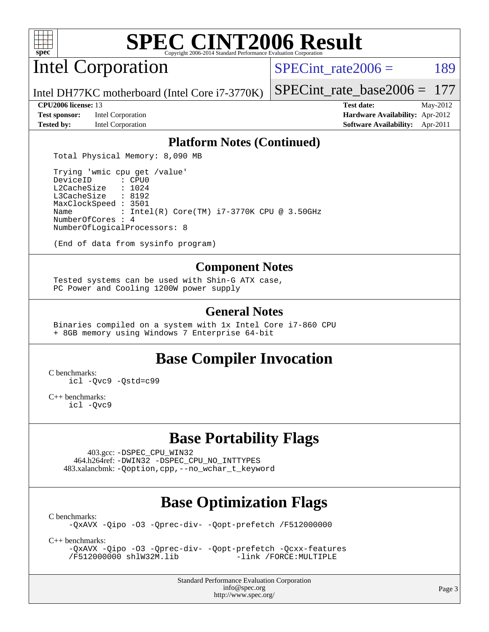

Intel Corporation

SPECint rate $2006 = 189$ 

Intel DH77KC motherboard (Intel Core i7-3770K)

#### **[CPU2006 license:](http://www.spec.org/auto/cpu2006/Docs/result-fields.html#CPU2006license)** 13 **[Test date:](http://www.spec.org/auto/cpu2006/Docs/result-fields.html#Testdate)** May-2012

**[Test sponsor:](http://www.spec.org/auto/cpu2006/Docs/result-fields.html#Testsponsor)** Intel Corporation **[Hardware Availability:](http://www.spec.org/auto/cpu2006/Docs/result-fields.html#HardwareAvailability)** Apr-2012

[SPECint\\_rate\\_base2006 =](http://www.spec.org/auto/cpu2006/Docs/result-fields.html#SPECintratebase2006) 177

**[Tested by:](http://www.spec.org/auto/cpu2006/Docs/result-fields.html#Testedby)** Intel Corporation **[Software Availability:](http://www.spec.org/auto/cpu2006/Docs/result-fields.html#SoftwareAvailability)** Apr-2011

#### **[Platform Notes \(Continued\)](http://www.spec.org/auto/cpu2006/Docs/result-fields.html#PlatformNotes)**

Total Physical Memory: 8,090 MB

 Trying 'wmic cpu get /value' DeviceID L2CacheSize : 1024 L3CacheSize : 8192 MaxClockSpeed : 3501 Name : Intel(R) Core(TM) i7-3770K CPU @ 3.50GHz NumberOfCores : 4 NumberOfLogicalProcessors: 8

(End of data from sysinfo program)

#### **[Component Notes](http://www.spec.org/auto/cpu2006/Docs/result-fields.html#ComponentNotes)**

 Tested systems can be used with Shin-G ATX case, PC Power and Cooling 1200W power supply

#### **[General Notes](http://www.spec.org/auto/cpu2006/Docs/result-fields.html#GeneralNotes)**

 Binaries compiled on a system with 1x Intel Core i7-860 CPU + 8GB memory using Windows 7 Enterprise 64-bit

## **[Base Compiler Invocation](http://www.spec.org/auto/cpu2006/Docs/result-fields.html#BaseCompilerInvocation)**

[C benchmarks](http://www.spec.org/auto/cpu2006/Docs/result-fields.html#Cbenchmarks):

[icl -Qvc9](http://www.spec.org/cpu2006/results/res2012q3/cpu2006-20120702-23358.flags.html#user_CCbase_intel_icc_vc9_6b5741b4033b9dc48df324263d9561bc) [-Qstd=c99](http://www.spec.org/cpu2006/results/res2012q3/cpu2006-20120702-23358.flags.html#user_CCbase_intel_compiler_c99_mode_1a3d110e3041b3ad4466830521bdad2a)

[C++ benchmarks:](http://www.spec.org/auto/cpu2006/Docs/result-fields.html#CXXbenchmarks) [icl -Qvc9](http://www.spec.org/cpu2006/results/res2012q3/cpu2006-20120702-23358.flags.html#user_CXXbase_intel_icc_vc9_6b5741b4033b9dc48df324263d9561bc)

# **[Base Portability Flags](http://www.spec.org/auto/cpu2006/Docs/result-fields.html#BasePortabilityFlags)**

 403.gcc: [-DSPEC\\_CPU\\_WIN32](http://www.spec.org/cpu2006/results/res2012q3/cpu2006-20120702-23358.flags.html#b403.gcc_baseCPORTABILITY_DSPEC_CPU_WIN32) 464.h264ref: [-DWIN32](http://www.spec.org/cpu2006/results/res2012q3/cpu2006-20120702-23358.flags.html#b464.h264ref_baseCPORTABILITY_DWIN32) [-DSPEC\\_CPU\\_NO\\_INTTYPES](http://www.spec.org/cpu2006/results/res2012q3/cpu2006-20120702-23358.flags.html#b464.h264ref_baseCPORTABILITY_DSPEC_CPU_NO_INTTYPES) 483.xalancbmk: [-Qoption,cpp,--no\\_wchar\\_t\\_keyword](http://www.spec.org/cpu2006/results/res2012q3/cpu2006-20120702-23358.flags.html#user_baseCXXPORTABILITY483_xalancbmk_f-no_wchar_t_keyword_ec0ad4495a16b4e858bfcb29d949d25d)

# **[Base Optimization Flags](http://www.spec.org/auto/cpu2006/Docs/result-fields.html#BaseOptimizationFlags)**

[C benchmarks](http://www.spec.org/auto/cpu2006/Docs/result-fields.html#Cbenchmarks):

[-QxAVX](http://www.spec.org/cpu2006/results/res2012q3/cpu2006-20120702-23358.flags.html#user_CCbase_f-QxAVX) [-Qipo](http://www.spec.org/cpu2006/results/res2012q3/cpu2006-20120702-23358.flags.html#user_CCbase_f-Qipo) [-O3](http://www.spec.org/cpu2006/results/res2012q3/cpu2006-20120702-23358.flags.html#user_CCbase_f-O3) [-Qprec-div-](http://www.spec.org/cpu2006/results/res2012q3/cpu2006-20120702-23358.flags.html#user_CCbase_f-Qprec-div-) [-Qopt-prefetch](http://www.spec.org/cpu2006/results/res2012q3/cpu2006-20120702-23358.flags.html#user_CCbase_f-Qprefetch_37c211608666b9dff9380561f602f0a8) [/F512000000](http://www.spec.org/cpu2006/results/res2012q3/cpu2006-20120702-23358.flags.html#user_CCbase_set_stack_space_98438a10eb60aa5f35f4c79d9b9b27b1)

[C++ benchmarks:](http://www.spec.org/auto/cpu2006/Docs/result-fields.html#CXXbenchmarks)

[-QxAVX](http://www.spec.org/cpu2006/results/res2012q3/cpu2006-20120702-23358.flags.html#user_CXXbase_f-QxAVX) [-Qipo](http://www.spec.org/cpu2006/results/res2012q3/cpu2006-20120702-23358.flags.html#user_CXXbase_f-Qipo) [-O3](http://www.spec.org/cpu2006/results/res2012q3/cpu2006-20120702-23358.flags.html#user_CXXbase_f-O3) [-Qprec-div-](http://www.spec.org/cpu2006/results/res2012q3/cpu2006-20120702-23358.flags.html#user_CXXbase_f-Qprec-div-) [-Qopt-prefetch](http://www.spec.org/cpu2006/results/res2012q3/cpu2006-20120702-23358.flags.html#user_CXXbase_f-Qprefetch_37c211608666b9dff9380561f602f0a8) [-Qcxx-features](http://www.spec.org/cpu2006/results/res2012q3/cpu2006-20120702-23358.flags.html#user_CXXbase_f-Qcxx_features_dbf36c8a6dba956e22f1645e4dcd4d98) [/F512000000](http://www.spec.org/cpu2006/results/res2012q3/cpu2006-20120702-23358.flags.html#user_CXXbase_set_stack_space_98438a10eb60aa5f35f4c79d9b9b27b1) [shlW32M.lib](http://www.spec.org/cpu2006/results/res2012q3/cpu2006-20120702-23358.flags.html#user_CXXbase_SmartHeap32_d106338dfda1a055705c9b519e07f096)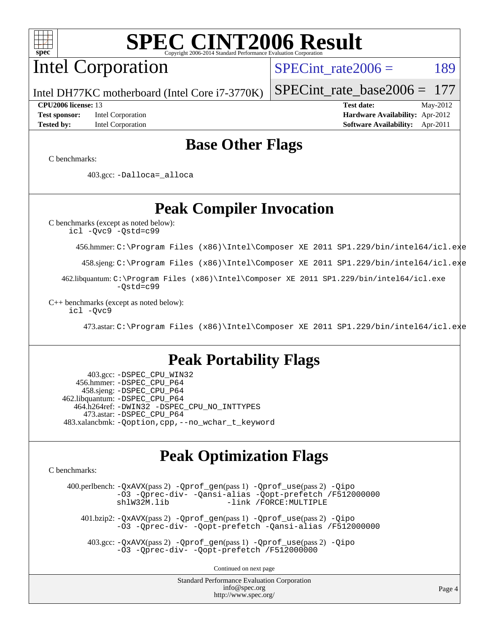# Intel Corporation

SPECint rate $2006 = 189$ 

Intel DH77KC motherboard (Intel Core i7-3770K)

**[Tested by:](http://www.spec.org/auto/cpu2006/Docs/result-fields.html#Testedby)** Intel Corporation **[Software Availability:](http://www.spec.org/auto/cpu2006/Docs/result-fields.html#SoftwareAvailability)** Apr-2011

**[CPU2006 license:](http://www.spec.org/auto/cpu2006/Docs/result-fields.html#CPU2006license)** 13 **[Test date:](http://www.spec.org/auto/cpu2006/Docs/result-fields.html#Testdate)** May-2012 **[Test sponsor:](http://www.spec.org/auto/cpu2006/Docs/result-fields.html#Testsponsor)** Intel Corporation **[Hardware Availability:](http://www.spec.org/auto/cpu2006/Docs/result-fields.html#HardwareAvailability)** Apr-2012

[SPECint\\_rate\\_base2006 =](http://www.spec.org/auto/cpu2006/Docs/result-fields.html#SPECintratebase2006) 177

## **[Base Other Flags](http://www.spec.org/auto/cpu2006/Docs/result-fields.html#BaseOtherFlags)**

[C benchmarks](http://www.spec.org/auto/cpu2006/Docs/result-fields.html#Cbenchmarks):

403.gcc: [-Dalloca=\\_alloca](http://www.spec.org/cpu2006/results/res2012q3/cpu2006-20120702-23358.flags.html#b403.gcc_baseEXTRA_CFLAGS_Dalloca_be3056838c12de2578596ca5467af7f3)

**[Peak Compiler Invocation](http://www.spec.org/auto/cpu2006/Docs/result-fields.html#PeakCompilerInvocation)**

[C benchmarks \(except as noted below\)](http://www.spec.org/auto/cpu2006/Docs/result-fields.html#Cbenchmarksexceptasnotedbelow): [icl -Qvc9](http://www.spec.org/cpu2006/results/res2012q3/cpu2006-20120702-23358.flags.html#user_CCpeak_intel_icc_vc9_6b5741b4033b9dc48df324263d9561bc) [-Qstd=c99](http://www.spec.org/cpu2006/results/res2012q3/cpu2006-20120702-23358.flags.html#user_CCpeak_intel_compiler_c99_mode_1a3d110e3041b3ad4466830521bdad2a)

456.hmmer: [C:\Program Files \(x86\)\Intel\Composer XE 2011 SP1.229/bin/intel64/icl.exe](http://www.spec.org/cpu2006/results/res2012q3/cpu2006-20120702-23358.flags.html#user_peakCCLD456_hmmer_intel_icc_64bit_f8c96779109e8886f4854fc7e9645769)

458.sjeng: [C:\Program Files \(x86\)\Intel\Composer XE 2011 SP1.229/bin/intel64/icl.exe](http://www.spec.org/cpu2006/results/res2012q3/cpu2006-20120702-23358.flags.html#user_peakCCLD458_sjeng_intel_icc_64bit_f8c96779109e8886f4854fc7e9645769)

 462.libquantum: [C:\Program Files \(x86\)\Intel\Composer XE 2011 SP1.229/bin/intel64/icl.exe](http://www.spec.org/cpu2006/results/res2012q3/cpu2006-20120702-23358.flags.html#user_peakCCLD462_libquantum_intel_icc_64bit_f8c96779109e8886f4854fc7e9645769) [-Qstd=c99](http://www.spec.org/cpu2006/results/res2012q3/cpu2006-20120702-23358.flags.html#user_peakCCLD462_libquantum_intel_compiler_c99_mode_1a3d110e3041b3ad4466830521bdad2a)

[C++ benchmarks \(except as noted below\):](http://www.spec.org/auto/cpu2006/Docs/result-fields.html#CXXbenchmarksexceptasnotedbelow) [icl -Qvc9](http://www.spec.org/cpu2006/results/res2012q3/cpu2006-20120702-23358.flags.html#user_CXXpeak_intel_icc_vc9_6b5741b4033b9dc48df324263d9561bc)

473.astar: [C:\Program Files \(x86\)\Intel\Composer XE 2011 SP1.229/bin/intel64/icl.exe](http://www.spec.org/cpu2006/results/res2012q3/cpu2006-20120702-23358.flags.html#user_peakCXXLD473_astar_intel_icc_64bit_f8c96779109e8886f4854fc7e9645769)

## **[Peak Portability Flags](http://www.spec.org/auto/cpu2006/Docs/result-fields.html#PeakPortabilityFlags)**

 403.gcc: [-DSPEC\\_CPU\\_WIN32](http://www.spec.org/cpu2006/results/res2012q3/cpu2006-20120702-23358.flags.html#b403.gcc_peakCPORTABILITY_DSPEC_CPU_WIN32) 456.hmmer: [-DSPEC\\_CPU\\_P64](http://www.spec.org/cpu2006/results/res2012q3/cpu2006-20120702-23358.flags.html#suite_peakPORTABILITY456_hmmer_DSPEC_CPU_P64) 458.sjeng: [-DSPEC\\_CPU\\_P64](http://www.spec.org/cpu2006/results/res2012q3/cpu2006-20120702-23358.flags.html#suite_peakPORTABILITY458_sjeng_DSPEC_CPU_P64) 462.libquantum: [-DSPEC\\_CPU\\_P64](http://www.spec.org/cpu2006/results/res2012q3/cpu2006-20120702-23358.flags.html#suite_peakPORTABILITY462_libquantum_DSPEC_CPU_P64) 464.h264ref: [-DWIN32](http://www.spec.org/cpu2006/results/res2012q3/cpu2006-20120702-23358.flags.html#b464.h264ref_peakCPORTABILITY_DWIN32) [-DSPEC\\_CPU\\_NO\\_INTTYPES](http://www.spec.org/cpu2006/results/res2012q3/cpu2006-20120702-23358.flags.html#b464.h264ref_peakCPORTABILITY_DSPEC_CPU_NO_INTTYPES) 473.astar: [-DSPEC\\_CPU\\_P64](http://www.spec.org/cpu2006/results/res2012q3/cpu2006-20120702-23358.flags.html#suite_peakPORTABILITY473_astar_DSPEC_CPU_P64) 483.xalancbmk: [-Qoption,cpp,--no\\_wchar\\_t\\_keyword](http://www.spec.org/cpu2006/results/res2012q3/cpu2006-20120702-23358.flags.html#user_peakCXXPORTABILITY483_xalancbmk_f-no_wchar_t_keyword_ec0ad4495a16b4e858bfcb29d949d25d)

## **[Peak Optimization Flags](http://www.spec.org/auto/cpu2006/Docs/result-fields.html#PeakOptimizationFlags)**

[C benchmarks](http://www.spec.org/auto/cpu2006/Docs/result-fields.html#Cbenchmarks):

 400.perlbench: [-QxAVX](http://www.spec.org/cpu2006/results/res2012q3/cpu2006-20120702-23358.flags.html#user_peakPASS2_CFLAGSPASS2_LDFLAGS400_perlbench_f-QxAVX)(pass 2) [-Qprof\\_gen](http://www.spec.org/cpu2006/results/res2012q3/cpu2006-20120702-23358.flags.html#user_peakPASS1_CFLAGSPASS1_LDFLAGS400_perlbench_Qprof_gen)(pass 1) [-Qprof\\_use](http://www.spec.org/cpu2006/results/res2012q3/cpu2006-20120702-23358.flags.html#user_peakPASS2_CFLAGSPASS2_LDFLAGS400_perlbench_Qprof_use)(pass 2) [-Qipo](http://www.spec.org/cpu2006/results/res2012q3/cpu2006-20120702-23358.flags.html#user_peakOPTIMIZE400_perlbench_f-Qipo) [-O3](http://www.spec.org/cpu2006/results/res2012q3/cpu2006-20120702-23358.flags.html#user_peakOPTIMIZE400_perlbench_f-O3) [-Qprec-div-](http://www.spec.org/cpu2006/results/res2012q3/cpu2006-20120702-23358.flags.html#user_peakOPTIMIZE400_perlbench_f-Qprec-div-) [-Qansi-alias](http://www.spec.org/cpu2006/results/res2012q3/cpu2006-20120702-23358.flags.html#user_peakOPTIMIZE400_perlbench_f-Qansi-alias) [-Qopt-prefetch](http://www.spec.org/cpu2006/results/res2012q3/cpu2006-20120702-23358.flags.html#user_peakOPTIMIZE400_perlbench_f-Qprefetch_37c211608666b9dff9380561f602f0a8) [/F512000000](http://www.spec.org/cpu2006/results/res2012q3/cpu2006-20120702-23358.flags.html#user_peakEXTRA_LDFLAGS400_perlbench_set_stack_space_98438a10eb60aa5f35f4c79d9b9b27b1) [shlW32M.lib](http://www.spec.org/cpu2006/results/res2012q3/cpu2006-20120702-23358.flags.html#user_peakEXTRA_LIBS400_perlbench_SmartHeap32_d106338dfda1a055705c9b519e07f096) [-link /FORCE:MULTIPLE](http://www.spec.org/cpu2006/results/res2012q3/cpu2006-20120702-23358.flags.html#user_peakLDOUT400_perlbench_link_force_multiple2_070fe330869edf77077b841074b8b0b6)

 401.bzip2: [-QxAVX](http://www.spec.org/cpu2006/results/res2012q3/cpu2006-20120702-23358.flags.html#user_peakPASS2_CFLAGSPASS2_LDFLAGS401_bzip2_f-QxAVX)(pass 2) [-Qprof\\_gen](http://www.spec.org/cpu2006/results/res2012q3/cpu2006-20120702-23358.flags.html#user_peakPASS1_CFLAGSPASS1_LDFLAGS401_bzip2_Qprof_gen)(pass 1) [-Qprof\\_use](http://www.spec.org/cpu2006/results/res2012q3/cpu2006-20120702-23358.flags.html#user_peakPASS2_CFLAGSPASS2_LDFLAGS401_bzip2_Qprof_use)(pass 2) [-Qipo](http://www.spec.org/cpu2006/results/res2012q3/cpu2006-20120702-23358.flags.html#user_peakOPTIMIZE401_bzip2_f-Qipo) [-O3](http://www.spec.org/cpu2006/results/res2012q3/cpu2006-20120702-23358.flags.html#user_peakOPTIMIZE401_bzip2_f-O3) [-Qprec-div-](http://www.spec.org/cpu2006/results/res2012q3/cpu2006-20120702-23358.flags.html#user_peakOPTIMIZE401_bzip2_f-Qprec-div-) [-Qopt-prefetch](http://www.spec.org/cpu2006/results/res2012q3/cpu2006-20120702-23358.flags.html#user_peakOPTIMIZE401_bzip2_f-Qprefetch_37c211608666b9dff9380561f602f0a8) [-Qansi-alias](http://www.spec.org/cpu2006/results/res2012q3/cpu2006-20120702-23358.flags.html#user_peakOPTIMIZE401_bzip2_f-Qansi-alias) [/F512000000](http://www.spec.org/cpu2006/results/res2012q3/cpu2006-20120702-23358.flags.html#user_peakEXTRA_LDFLAGS401_bzip2_set_stack_space_98438a10eb60aa5f35f4c79d9b9b27b1)

 403.gcc: [-QxAVX](http://www.spec.org/cpu2006/results/res2012q3/cpu2006-20120702-23358.flags.html#user_peakPASS2_CFLAGSPASS2_LDFLAGS403_gcc_f-QxAVX)(pass 2) [-Qprof\\_gen](http://www.spec.org/cpu2006/results/res2012q3/cpu2006-20120702-23358.flags.html#user_peakPASS1_CFLAGSPASS1_LDFLAGS403_gcc_Qprof_gen)(pass 1) [-Qprof\\_use](http://www.spec.org/cpu2006/results/res2012q3/cpu2006-20120702-23358.flags.html#user_peakPASS2_CFLAGSPASS2_LDFLAGS403_gcc_Qprof_use)(pass 2) [-Qipo](http://www.spec.org/cpu2006/results/res2012q3/cpu2006-20120702-23358.flags.html#user_peakOPTIMIZE403_gcc_f-Qipo) [-O3](http://www.spec.org/cpu2006/results/res2012q3/cpu2006-20120702-23358.flags.html#user_peakOPTIMIZE403_gcc_f-O3) [-Qprec-div-](http://www.spec.org/cpu2006/results/res2012q3/cpu2006-20120702-23358.flags.html#user_peakOPTIMIZE403_gcc_f-Qprec-div-) [-Qopt-prefetch](http://www.spec.org/cpu2006/results/res2012q3/cpu2006-20120702-23358.flags.html#user_peakOPTIMIZE403_gcc_f-Qprefetch_37c211608666b9dff9380561f602f0a8) [/F512000000](http://www.spec.org/cpu2006/results/res2012q3/cpu2006-20120702-23358.flags.html#user_peakEXTRA_LDFLAGS403_gcc_set_stack_space_98438a10eb60aa5f35f4c79d9b9b27b1)

Continued on next page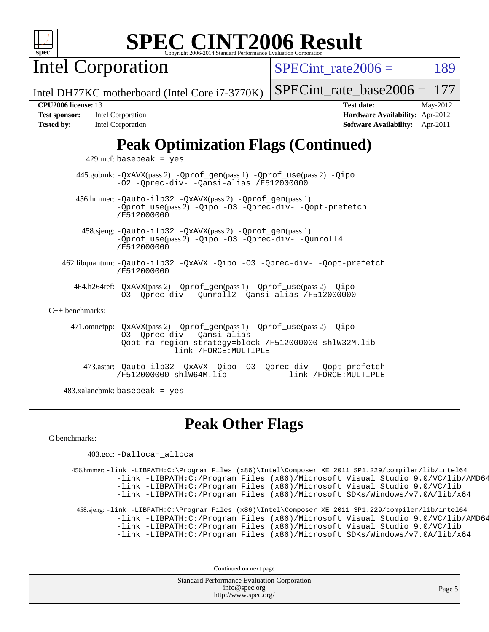

Intel Corporation

SPECint rate $2006 = 189$ 

Intel DH77KC motherboard (Intel Core i7-3770K)

#### [SPECint\\_rate\\_base2006 =](http://www.spec.org/auto/cpu2006/Docs/result-fields.html#SPECintratebase2006) 177

| <b>Test sponsor:</b> | Intel Corporation |
|----------------------|-------------------|
| <b>Tested by:</b>    | Intel Corporation |

**[CPU2006 license:](http://www.spec.org/auto/cpu2006/Docs/result-fields.html#CPU2006license)** 13 **[Test date:](http://www.spec.org/auto/cpu2006/Docs/result-fields.html#Testdate)** May-2012 **[Hardware Availability:](http://www.spec.org/auto/cpu2006/Docs/result-fields.html#HardwareAvailability)** Apr-2012 **[Software Availability:](http://www.spec.org/auto/cpu2006/Docs/result-fields.html#SoftwareAvailability)** Apr-2011

# **[Peak Optimization Flags \(Continued\)](http://www.spec.org/auto/cpu2006/Docs/result-fields.html#PeakOptimizationFlags)**

 $429$ .mcf: basepeak = yes

 445.gobmk: [-QxAVX](http://www.spec.org/cpu2006/results/res2012q3/cpu2006-20120702-23358.flags.html#user_peakPASS2_CFLAGSPASS2_LDFLAGS445_gobmk_f-QxAVX)(pass 2) [-Qprof\\_gen](http://www.spec.org/cpu2006/results/res2012q3/cpu2006-20120702-23358.flags.html#user_peakPASS1_CFLAGSPASS1_LDFLAGS445_gobmk_Qprof_gen)(pass 1) [-Qprof\\_use](http://www.spec.org/cpu2006/results/res2012q3/cpu2006-20120702-23358.flags.html#user_peakPASS2_CFLAGSPASS2_LDFLAGS445_gobmk_Qprof_use)(pass 2) [-Qipo](http://www.spec.org/cpu2006/results/res2012q3/cpu2006-20120702-23358.flags.html#user_peakOPTIMIZE445_gobmk_f-Qipo) [-O2](http://www.spec.org/cpu2006/results/res2012q3/cpu2006-20120702-23358.flags.html#user_peakOPTIMIZE445_gobmk_f-O2) [-Qprec-div-](http://www.spec.org/cpu2006/results/res2012q3/cpu2006-20120702-23358.flags.html#user_peakOPTIMIZE445_gobmk_f-Qprec-div-) [-Qansi-alias](http://www.spec.org/cpu2006/results/res2012q3/cpu2006-20120702-23358.flags.html#user_peakOPTIMIZE445_gobmk_f-Qansi-alias) [/F512000000](http://www.spec.org/cpu2006/results/res2012q3/cpu2006-20120702-23358.flags.html#user_peakEXTRA_LDFLAGS445_gobmk_set_stack_space_98438a10eb60aa5f35f4c79d9b9b27b1)

 456.hmmer: [-Qauto-ilp32](http://www.spec.org/cpu2006/results/res2012q3/cpu2006-20120702-23358.flags.html#user_peakCCLD456_hmmer_f-Qauto-ilp32) [-QxAVX](http://www.spec.org/cpu2006/results/res2012q3/cpu2006-20120702-23358.flags.html#user_peakPASS2_CFLAGSPASS2_LDFLAGS456_hmmer_f-QxAVX)(pass 2) [-Qprof\\_gen](http://www.spec.org/cpu2006/results/res2012q3/cpu2006-20120702-23358.flags.html#user_peakPASS1_CFLAGSPASS1_LDFLAGS456_hmmer_Qprof_gen)(pass 1) [-Qprof\\_use](http://www.spec.org/cpu2006/results/res2012q3/cpu2006-20120702-23358.flags.html#user_peakPASS2_CFLAGSPASS2_LDFLAGS456_hmmer_Qprof_use)(pass 2) [-Qipo](http://www.spec.org/cpu2006/results/res2012q3/cpu2006-20120702-23358.flags.html#user_peakOPTIMIZE456_hmmer_f-Qipo) [-O3](http://www.spec.org/cpu2006/results/res2012q3/cpu2006-20120702-23358.flags.html#user_peakOPTIMIZE456_hmmer_f-O3) [-Qprec-div-](http://www.spec.org/cpu2006/results/res2012q3/cpu2006-20120702-23358.flags.html#user_peakOPTIMIZE456_hmmer_f-Qprec-div-) [-Qopt-prefetch](http://www.spec.org/cpu2006/results/res2012q3/cpu2006-20120702-23358.flags.html#user_peakOPTIMIZE456_hmmer_f-Qprefetch_37c211608666b9dff9380561f602f0a8) [/F512000000](http://www.spec.org/cpu2006/results/res2012q3/cpu2006-20120702-23358.flags.html#user_peakEXTRA_LDFLAGS456_hmmer_set_stack_space_98438a10eb60aa5f35f4c79d9b9b27b1)

 458.sjeng: [-Qauto-ilp32](http://www.spec.org/cpu2006/results/res2012q3/cpu2006-20120702-23358.flags.html#user_peakCCLD458_sjeng_f-Qauto-ilp32) [-QxAVX](http://www.spec.org/cpu2006/results/res2012q3/cpu2006-20120702-23358.flags.html#user_peakPASS2_CFLAGSPASS2_LDFLAGS458_sjeng_f-QxAVX)(pass 2) [-Qprof\\_gen](http://www.spec.org/cpu2006/results/res2012q3/cpu2006-20120702-23358.flags.html#user_peakPASS1_CFLAGSPASS1_LDFLAGS458_sjeng_Qprof_gen)(pass 1) [-Qprof\\_use](http://www.spec.org/cpu2006/results/res2012q3/cpu2006-20120702-23358.flags.html#user_peakPASS2_CFLAGSPASS2_LDFLAGS458_sjeng_Qprof_use)(pass 2) [-Qipo](http://www.spec.org/cpu2006/results/res2012q3/cpu2006-20120702-23358.flags.html#user_peakOPTIMIZE458_sjeng_f-Qipo) [-O3](http://www.spec.org/cpu2006/results/res2012q3/cpu2006-20120702-23358.flags.html#user_peakOPTIMIZE458_sjeng_f-O3) [-Qprec-div-](http://www.spec.org/cpu2006/results/res2012q3/cpu2006-20120702-23358.flags.html#user_peakOPTIMIZE458_sjeng_f-Qprec-div-) [-Qunroll4](http://www.spec.org/cpu2006/results/res2012q3/cpu2006-20120702-23358.flags.html#user_peakOPTIMIZE458_sjeng_f-Qunroll_013b1c0ea3aa84ef2c65e488bcc3d968) [/F512000000](http://www.spec.org/cpu2006/results/res2012q3/cpu2006-20120702-23358.flags.html#user_peakEXTRA_LDFLAGS458_sjeng_set_stack_space_98438a10eb60aa5f35f4c79d9b9b27b1)

 462.libquantum: [-Qauto-ilp32](http://www.spec.org/cpu2006/results/res2012q3/cpu2006-20120702-23358.flags.html#user_peakCCLD462_libquantum_f-Qauto-ilp32) [-QxAVX](http://www.spec.org/cpu2006/results/res2012q3/cpu2006-20120702-23358.flags.html#user_peakOPTIMIZE462_libquantum_f-QxAVX) [-Qipo](http://www.spec.org/cpu2006/results/res2012q3/cpu2006-20120702-23358.flags.html#user_peakOPTIMIZE462_libquantum_f-Qipo) [-O3](http://www.spec.org/cpu2006/results/res2012q3/cpu2006-20120702-23358.flags.html#user_peakOPTIMIZE462_libquantum_f-O3) [-Qprec-div-](http://www.spec.org/cpu2006/results/res2012q3/cpu2006-20120702-23358.flags.html#user_peakOPTIMIZE462_libquantum_f-Qprec-div-) [-Qopt-prefetch](http://www.spec.org/cpu2006/results/res2012q3/cpu2006-20120702-23358.flags.html#user_peakOPTIMIZE462_libquantum_f-Qprefetch_37c211608666b9dff9380561f602f0a8) [/F512000000](http://www.spec.org/cpu2006/results/res2012q3/cpu2006-20120702-23358.flags.html#user_peakEXTRA_LDFLAGS462_libquantum_set_stack_space_98438a10eb60aa5f35f4c79d9b9b27b1)

 464.h264ref: [-QxAVX](http://www.spec.org/cpu2006/results/res2012q3/cpu2006-20120702-23358.flags.html#user_peakPASS2_CFLAGSPASS2_LDFLAGS464_h264ref_f-QxAVX)(pass 2) [-Qprof\\_gen](http://www.spec.org/cpu2006/results/res2012q3/cpu2006-20120702-23358.flags.html#user_peakPASS1_CFLAGSPASS1_LDFLAGS464_h264ref_Qprof_gen)(pass 1) [-Qprof\\_use](http://www.spec.org/cpu2006/results/res2012q3/cpu2006-20120702-23358.flags.html#user_peakPASS2_CFLAGSPASS2_LDFLAGS464_h264ref_Qprof_use)(pass 2) [-Qipo](http://www.spec.org/cpu2006/results/res2012q3/cpu2006-20120702-23358.flags.html#user_peakOPTIMIZE464_h264ref_f-Qipo) [-O3](http://www.spec.org/cpu2006/results/res2012q3/cpu2006-20120702-23358.flags.html#user_peakOPTIMIZE464_h264ref_f-O3) [-Qprec-div-](http://www.spec.org/cpu2006/results/res2012q3/cpu2006-20120702-23358.flags.html#user_peakOPTIMIZE464_h264ref_f-Qprec-div-) [-Qunroll2](http://www.spec.org/cpu2006/results/res2012q3/cpu2006-20120702-23358.flags.html#user_peakOPTIMIZE464_h264ref_f-Qunroll_1d9456aa650e77fc2a0cf43cef3fa08c) [-Qansi-alias](http://www.spec.org/cpu2006/results/res2012q3/cpu2006-20120702-23358.flags.html#user_peakOPTIMIZE464_h264ref_f-Qansi-alias) [/F512000000](http://www.spec.org/cpu2006/results/res2012q3/cpu2006-20120702-23358.flags.html#user_peakEXTRA_LDFLAGS464_h264ref_set_stack_space_98438a10eb60aa5f35f4c79d9b9b27b1)

[C++ benchmarks:](http://www.spec.org/auto/cpu2006/Docs/result-fields.html#CXXbenchmarks)

 471.omnetpp: [-QxAVX](http://www.spec.org/cpu2006/results/res2012q3/cpu2006-20120702-23358.flags.html#user_peakPASS2_CXXFLAGSPASS2_LDFLAGS471_omnetpp_f-QxAVX)(pass 2) [-Qprof\\_gen](http://www.spec.org/cpu2006/results/res2012q3/cpu2006-20120702-23358.flags.html#user_peakPASS1_CXXFLAGSPASS1_LDFLAGS471_omnetpp_Qprof_gen)(pass 1) [-Qprof\\_use](http://www.spec.org/cpu2006/results/res2012q3/cpu2006-20120702-23358.flags.html#user_peakPASS2_CXXFLAGSPASS2_LDFLAGS471_omnetpp_Qprof_use)(pass 2) [-Qipo](http://www.spec.org/cpu2006/results/res2012q3/cpu2006-20120702-23358.flags.html#user_peakOPTIMIZE471_omnetpp_f-Qipo) [-O3](http://www.spec.org/cpu2006/results/res2012q3/cpu2006-20120702-23358.flags.html#user_peakOPTIMIZE471_omnetpp_f-O3) [-Qprec-div-](http://www.spec.org/cpu2006/results/res2012q3/cpu2006-20120702-23358.flags.html#user_peakOPTIMIZE471_omnetpp_f-Qprec-div-) [-Qansi-alias](http://www.spec.org/cpu2006/results/res2012q3/cpu2006-20120702-23358.flags.html#user_peakOPTIMIZE471_omnetpp_f-Qansi-alias) [-Qopt-ra-region-strategy=block](http://www.spec.org/cpu2006/results/res2012q3/cpu2006-20120702-23358.flags.html#user_peakOPTIMIZE471_omnetpp_f-Qopt-ra-region-strategy_d2240e80a5d9053a1fd400255dbf4159) [/F512000000](http://www.spec.org/cpu2006/results/res2012q3/cpu2006-20120702-23358.flags.html#user_peakEXTRA_LDFLAGS471_omnetpp_set_stack_space_98438a10eb60aa5f35f4c79d9b9b27b1) [shlW32M.lib](http://www.spec.org/cpu2006/results/res2012q3/cpu2006-20120702-23358.flags.html#user_peakEXTRA_LIBS471_omnetpp_SmartHeap32_d106338dfda1a055705c9b519e07f096)  [-link /FORCE:MULTIPLE](http://www.spec.org/cpu2006/results/res2012q3/cpu2006-20120702-23358.flags.html#user_peakLDOUT471_omnetpp_link_force_multiple2_070fe330869edf77077b841074b8b0b6)

 473.astar: [-Qauto-ilp32](http://www.spec.org/cpu2006/results/res2012q3/cpu2006-20120702-23358.flags.html#user_peakCXXLD473_astar_f-Qauto-ilp32) [-QxAVX](http://www.spec.org/cpu2006/results/res2012q3/cpu2006-20120702-23358.flags.html#user_peakOPTIMIZE473_astar_f-QxAVX) [-Qipo](http://www.spec.org/cpu2006/results/res2012q3/cpu2006-20120702-23358.flags.html#user_peakOPTIMIZE473_astar_f-Qipo) [-O3](http://www.spec.org/cpu2006/results/res2012q3/cpu2006-20120702-23358.flags.html#user_peakOPTIMIZE473_astar_f-O3) [-Qprec-div-](http://www.spec.org/cpu2006/results/res2012q3/cpu2006-20120702-23358.flags.html#user_peakOPTIMIZE473_astar_f-Qprec-div-) [-Qopt-prefetch](http://www.spec.org/cpu2006/results/res2012q3/cpu2006-20120702-23358.flags.html#user_peakOPTIMIZE473_astar_f-Qprefetch_37c211608666b9dff9380561f602f0a8) [/F512000000](http://www.spec.org/cpu2006/results/res2012q3/cpu2006-20120702-23358.flags.html#user_peakEXTRA_LDFLAGS473_astar_set_stack_space_98438a10eb60aa5f35f4c79d9b9b27b1) [shlW64M.lib](http://www.spec.org/cpu2006/results/res2012q3/cpu2006-20120702-23358.flags.html#user_peakEXTRA_LIBS473_astar_SmartHeap64_c4f7f76711bdf8c0633a5c1edf6e5396)

483.xalancbmk: basepeak = yes

## **[Peak Other Flags](http://www.spec.org/auto/cpu2006/Docs/result-fields.html#PeakOtherFlags)**

[C benchmarks](http://www.spec.org/auto/cpu2006/Docs/result-fields.html#Cbenchmarks):

403.gcc: [-Dalloca=\\_alloca](http://www.spec.org/cpu2006/results/res2012q3/cpu2006-20120702-23358.flags.html#b403.gcc_peakEXTRA_CFLAGS_Dalloca_be3056838c12de2578596ca5467af7f3)

 456.hmmer: [-link -LIBPATH:C:\Program Files \(x86\)\Intel\Composer XE 2011 SP1.229/compiler/lib/intel64](http://www.spec.org/cpu2006/results/res2012q3/cpu2006-20120702-23358.flags.html#user_peakLDOUT456_hmmer_intel_compiler_64bit_lib_dir_577a5fc4f4ebd1fdf8ec58f1d5e11ac0) [-link -LIBPATH:C:/Program Files \(x86\)/Microsoft Visual Studio 9.0/VC/lib/AMD64](http://www.spec.org/cpu2006/results/res2012q3/cpu2006-20120702-23358.flags.html#user_peakLDOUT456_hmmer_ms_vs_compiler_64bit_lib_dir_edc67b23e7044cac0b6ec7b7e52573f3) [-link -LIBPATH:C:/Program Files \(x86\)/Microsoft Visual Studio 9.0/VC/lib](http://www.spec.org/cpu2006/results/res2012q3/cpu2006-20120702-23358.flags.html#user_peakLDOUT456_hmmer_ms_vs_compiler_lib_dir_11a68851a8393af566e203f4eec9c056) [-link -LIBPATH:C:/Program Files \(x86\)/Microsoft SDKs/Windows/v7.0A/lib/x64](http://www.spec.org/cpu2006/results/res2012q3/cpu2006-20120702-23358.flags.html#user_peakLDOUT456_hmmer_ms_vs_compiler_additional_lib_dir_19b6c1f1999303eedd16ace390b0da4d) 458.sjeng: [-link -LIBPATH:C:\Program Files \(x86\)\Intel\Composer XE 2011 SP1.229/compiler/lib/intel64](http://www.spec.org/cpu2006/results/res2012q3/cpu2006-20120702-23358.flags.html#user_peakLDOUT458_sjeng_intel_compiler_64bit_lib_dir_577a5fc4f4ebd1fdf8ec58f1d5e11ac0) [-link -LIBPATH:C:/Program Files \(x86\)/Microsoft Visual Studio 9.0/VC/lib/AMD64](http://www.spec.org/cpu2006/results/res2012q3/cpu2006-20120702-23358.flags.html#user_peakLDOUT458_sjeng_ms_vs_compiler_64bit_lib_dir_edc67b23e7044cac0b6ec7b7e52573f3) [-link -LIBPATH:C:/Program Files \(x86\)/Microsoft Visual Studio 9.0/VC/lib](http://www.spec.org/cpu2006/results/res2012q3/cpu2006-20120702-23358.flags.html#user_peakLDOUT458_sjeng_ms_vs_compiler_lib_dir_11a68851a8393af566e203f4eec9c056)

[-link -LIBPATH:C:/Program Files \(x86\)/Microsoft SDKs/Windows/v7.0A/lib/x64](http://www.spec.org/cpu2006/results/res2012q3/cpu2006-20120702-23358.flags.html#user_peakLDOUT458_sjeng_ms_vs_compiler_additional_lib_dir_19b6c1f1999303eedd16ace390b0da4d)

Continued on next page

Standard Performance Evaluation Corporation [info@spec.org](mailto:info@spec.org) <http://www.spec.org/>

Page 5